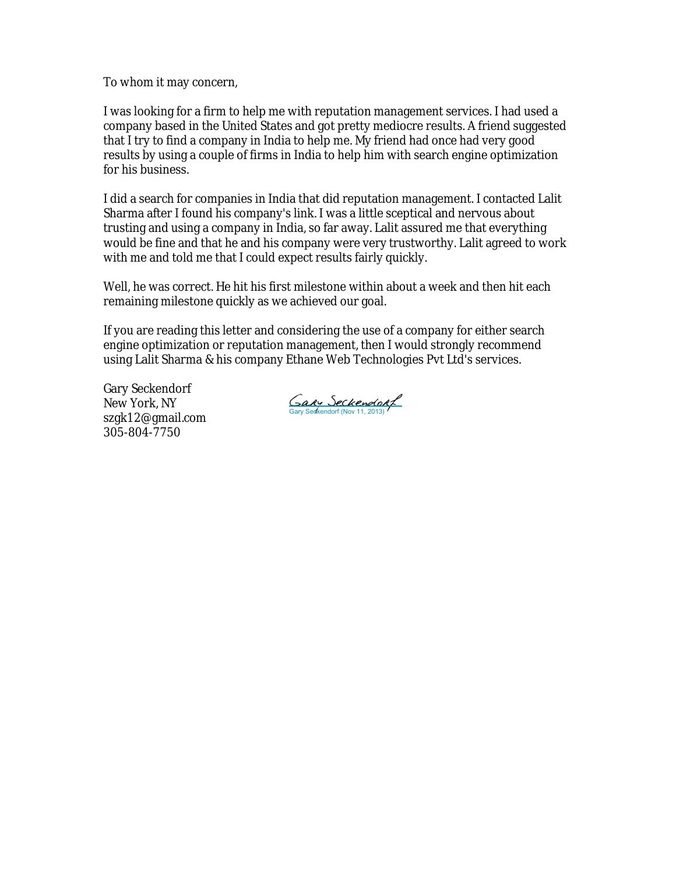To whom it may concern,

I was looking for a firm to help me with reputation management services. I had used a company based in the United States and got pretty mediocre results. A friend suggested that I try to find a company in India to help me. My friend had once had very good results by using a couple of firms in India to help him with search engine optimization for his business.

I did a search for companies in India that did reputation management. I contacted Lalit Sharma after I found his company's link. I was a little sceptical and nervous about trusting and using a company in India, so far away. Lalit assured me that everything would be fine and that he and his company were very trustworthy. Lalit agreed to work with me and told me that I could expect results fairly quickly.

Well, he was correct. He hit his first milestone within about a week and then hit each remaining milestone quickly as we achieved our goal.

If you are reading this letter and considering the use of a company for either search engine optimization or reputation management, then I would strongly recommend using Lalit Sharma & his company Ethane Web Technologies Pvt Ltd's services.

Gary Seckendorf New York, NY szgk12@gmail.com 305-804-7750

Gary Seckendort<br>Gary Sedkendorf (Nov 11, 2013)